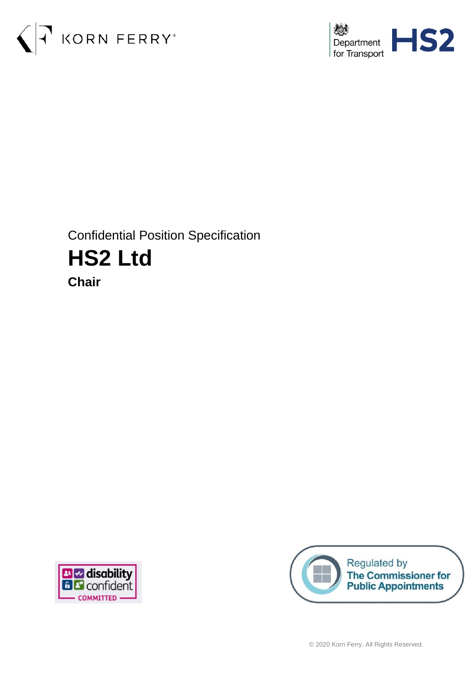



### Confidential Position Specification **HS2 Ltd Chair**



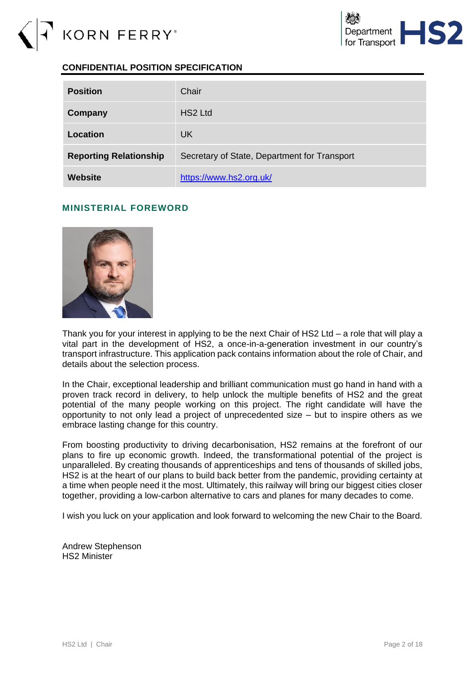



#### **CONFIDENTIAL POSITION SPECIFICATION**

| <b>Position</b>               | Chair                                        |  |
|-------------------------------|----------------------------------------------|--|
| Company                       | <b>HS2 Ltd</b>                               |  |
| Location                      | UK.                                          |  |
| <b>Reporting Relationship</b> | Secretary of State, Department for Transport |  |
| Website                       | https://www.hs2.org.uk/                      |  |

#### **MINISTERIAL FOREWORD**



Thank you for your interest in applying to be the next Chair of HS2 Ltd – a role that will play a vital part in the development of HS2, a once-in-a-generation investment in our country's transport infrastructure. This application pack contains information about the role of Chair, and details about the selection process.

In the Chair, exceptional leadership and brilliant communication must go hand in hand with a proven track record in delivery, to help unlock the multiple benefits of HS2 and the great potential of the many people working on this project. The right candidate will have the opportunity to not only lead a project of unprecedented size – but to inspire others as we embrace lasting change for this country.

From boosting productivity to driving decarbonisation, HS2 remains at the forefront of our plans to fire up economic growth. Indeed, the transformational potential of the project is unparalleled. By creating thousands of apprenticeships and tens of thousands of skilled jobs, HS2 is at the heart of our plans to build back better from the pandemic, providing certainty at a time when people need it the most. Ultimately, this railway will bring our biggest cities closer together, providing a low-carbon alternative to cars and planes for many decades to come.

I wish you luck on your application and look forward to welcoming the new Chair to the Board.

Andrew Stephenson HS2 Minister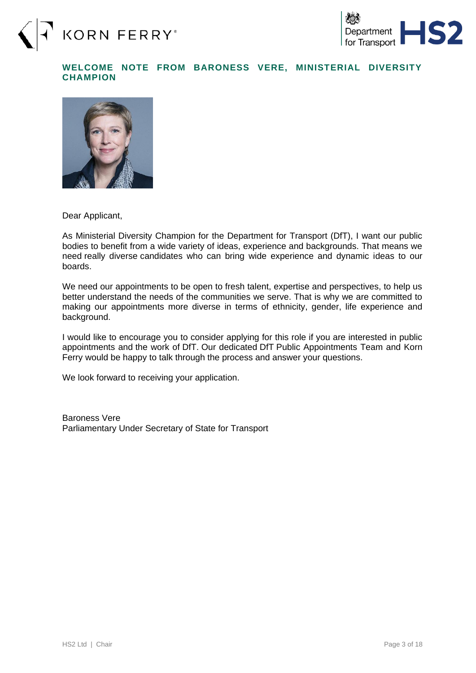



#### **WELCOME NOTE FROM BARONESS VERE, MINISTERIAL DIVERSITY CHAMPION**



Dear Applicant,

As Ministerial Diversity Champion for the Department for Transport (DfT), I want our public bodies to benefit from a wide variety of ideas, experience and backgrounds. That means we need really diverse candidates who can bring wide experience and dynamic ideas to our boards.

We need our appointments to be open to fresh talent, expertise and perspectives, to help us better understand the needs of the communities we serve. That is why we are committed to making our appointments more diverse in terms of ethnicity, gender, life experience and background.

I would like to encourage you to consider applying for this role if you are interested in public appointments and the work of DfT. Our dedicated DfT Public Appointments Team and Korn Ferry would be happy to talk through the process and answer your questions.

We look forward to receiving your application.

Baroness Vere Parliamentary Under Secretary of State for Transport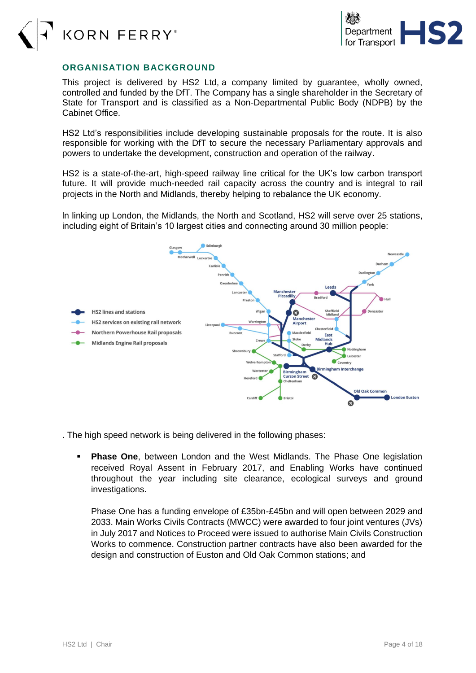



#### **ORGANISATION BACKGROUND**

This project is delivered by HS2 Ltd, a company limited by guarantee, wholly owned, controlled and funded by the DfT. The Company has a single shareholder in the Secretary of State for Transport and is classified as a Non-Departmental Public Body (NDPB) by the Cabinet Office.

HS2 Ltd's responsibilities include developing sustainable proposals for the route. It is also responsible for working with the DfT to secure the necessary Parliamentary approvals and powers to undertake the development, construction and operation of the railway.

HS2 is a state-of-the-art, high-speed railway line critical for the UK's low carbon transport future. It will provide much-needed rail capacity across the country and is integral to rail projects in the North and Midlands, thereby helping to rebalance the UK economy.

ln linking up London, the Midlands, the North and Scotland, HS2 will serve [over 25 stations,](https://www.hs2.org.uk/where/the-stations/) including eight of Britain's 10 largest cities and connecting around 30 million people:



. The high speed network is being delivered in the following phases:

**Phase One**, between London and the West Midlands. The Phase One legislation received Royal Assent in February 2017, and Enabling Works have continued throughout the year including site clearance, ecological surveys and ground investigations.

Phase One has a funding envelope of £35bn-£45bn and will open between 2029 and 2033. Main Works Civils Contracts (MWCC) were awarded to four joint ventures (JVs) in July 2017 and Notices to Proceed were issued to authorise Main Civils Construction Works to commence. Construction partner contracts have also been awarded for the design and construction of Euston and Old Oak Common stations; and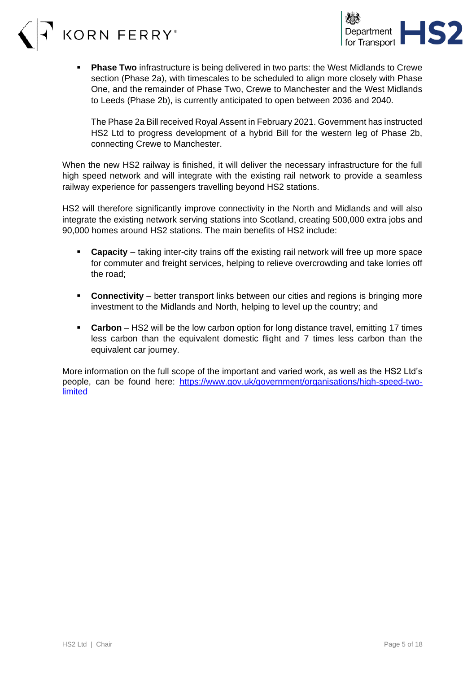

- partment for Transport
- **Phase Two** infrastructure is being delivered in two parts: the West Midlands to Crewe section (Phase 2a), with timescales to be scheduled to align more closely with Phase One, and the remainder of Phase Two, Crewe to Manchester and the West Midlands to Leeds (Phase 2b), is currently anticipated to open between 2036 and 2040.

The Phase 2a Bill received Royal Assent in February 2021. Government has instructed HS2 Ltd to progress development of a hybrid Bill for the western leg of Phase 2b, connecting Crewe to Manchester.

When the new HS2 railway is finished, it will deliver the necessary infrastructure for the full high speed network and will integrate with the existing rail network to provide a seamless railway experience for passengers travelling beyond HS2 stations.

HS2 will therefore significantly improve connectivity in the North and Midlands and will also integrate the existing network serving stations into Scotland, creating 500,000 extra jobs and 90,000 homes around HS2 stations. The main benefits of HS2 include:

- **[Capacity](https://www.hs2.org.uk/why/capacity/)** taking inter-city trains off the existing rail network will free up more space for commuter and freight services, helping to relieve overcrowding and take lorries off the road;
- **[Connectivity](https://www.hs2.org.uk/why/connectivity/)** better transport links between our cities and regions is bringing more investment to the Midlands and North, helping to level up the country; and
- **[Carbon](https://www.hs2.org.uk/why/carbon/)** HS2 will be the low carbon option for long distance travel, emitting 17 times less carbon than the equivalent domestic flight and 7 times less carbon than the equivalent car journey.

More information on the full scope of the important and varied work, as well as the HS2 Ltd's people, can be found here: [https://www.gov.uk/government/organisations/high-speed-two](https://www.gov.uk/government/organisations/high-speed-two-limited)[limited](https://www.gov.uk/government/organisations/high-speed-two-limited)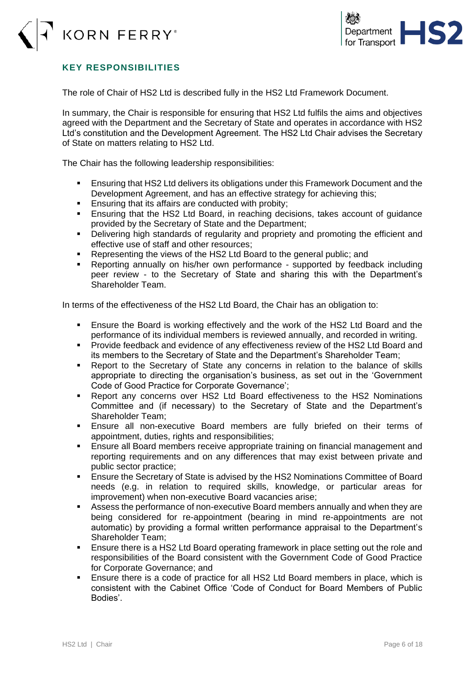



#### **KEY RESPONSIBILITIES**

The role of Chair of HS2 Ltd is described fully in the HS2 Ltd Framework Document.

In summary, the Chair is responsible for ensuring that HS2 Ltd fulfils the aims and objectives agreed with the Department and the Secretary of State and operates in accordance with HS2 Ltd's constitution and the Development Agreement. The HS2 Ltd Chair advises the Secretary of State on matters relating to HS2 Ltd.

The Chair has the following leadership responsibilities:

- Ensuring that HS2 Ltd delivers its obligations under this Framework Document and the Development Agreement, and has an effective strategy for achieving this;
- **Ensuring that its affairs are conducted with probity;**
- Ensuring that the HS2 Ltd Board, in reaching decisions, takes account of guidance provided by the Secretary of State and the Department;
- **•** Delivering high standards of regularity and propriety and promoting the efficient and effective use of staff and other resources;
- Representing the views of the HS2 Ltd Board to the general public; and
- Reporting annually on his/her own performance supported by feedback including peer review - to the Secretary of State and sharing this with the Department's Shareholder Team.

In terms of the effectiveness of the HS2 Ltd Board, the Chair has an obligation to:

- **Ensure the Board is working effectively and the work of the HS2 Ltd Board and the** performance of its individual members is reviewed annually, and recorded in writing.
- Provide feedback and evidence of any effectiveness review of the HS2 Ltd Board and its members to the Secretary of State and the Department's Shareholder Team;
- Report to the Secretary of State any concerns in relation to the balance of skills appropriate to directing the organisation's business, as set out in the 'Government Code of Good Practice for Corporate Governance';
- Report any concerns over HS2 Ltd Board effectiveness to the HS2 Nominations Committee and (if necessary) to the Secretary of State and the Department's Shareholder Team;
- **Ensure all non-executive Board members are fully briefed on their terms of** appointment, duties, rights and responsibilities;
- Ensure all Board members receive appropriate training on financial management and reporting requirements and on any differences that may exist between private and public sector practice;
- Ensure the Secretary of State is advised by the HS2 Nominations Committee of Board needs (e.g. in relation to required skills, knowledge, or particular areas for improvement) when non-executive Board vacancies arise;
- Assess the performance of non-executive Board members annually and when they are being considered for re-appointment (bearing in mind re-appointments are not automatic) by providing a formal written performance appraisal to the Department's Shareholder Team;
- Ensure there is a HS2 Ltd Board operating framework in place setting out the role and responsibilities of the Board consistent with the Government Code of Good Practice for Corporate Governance; and
- Ensure there is a code of practice for all HS2 Ltd Board members in place, which is consistent with the Cabinet Office 'Code of Conduct for Board Members of Public Bodies'.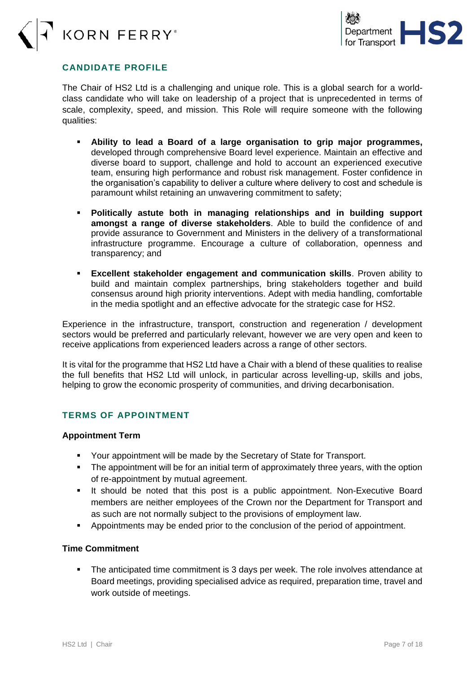



#### **CANDIDATE PROFILE**

The Chair of HS2 Ltd is a challenging and unique role. This is a global search for a worldclass candidate who will take on leadership of a project that is unprecedented in terms of scale, complexity, speed, and mission. This Role will require someone with the following qualities:

- Ability to lead a Board of a large organisation to grip major programmes, developed through comprehensive Board level experience. Maintain an effective and diverse board to support, challenge and hold to account an experienced executive team, ensuring high performance and robust risk management. Foster confidence in the organisation's capability to deliver a culture where delivery to cost and schedule is paramount whilst retaining an unwavering commitment to safety;
- **Politically astute both in managing relationships and in building support amongst a range of diverse stakeholders**. Able to build the confidence of and provide assurance to Government and Ministers in the delivery of a transformational infrastructure programme. Encourage a culture of collaboration, openness and transparency; and
- **Excellent stakeholder engagement and communication skills**. Proven ability to build and maintain complex partnerships, bring stakeholders together and build consensus around high priority interventions. Adept with media handling, comfortable in the media spotlight and an effective advocate for the strategic case for HS2.

Experience in the infrastructure, transport, construction and regeneration / development sectors would be preferred and particularly relevant, however we are very open and keen to receive applications from experienced leaders across a range of other sectors.

It is vital for the programme that HS2 Ltd have a Chair with a blend of these qualities to realise the full benefits that HS2 Ltd will unlock, in particular across levelling-up, skills and jobs, helping to grow the economic prosperity of communities, and driving decarbonisation.

#### **TERMS OF APPOINTMENT**

#### **Appointment Term**

- Your appointment will be made by the Secretary of State for Transport.
- **•** The appointment will be for an initial term of approximately three years, with the option of re-appointment by mutual agreement.
- It should be noted that this post is a public appointment. Non-Executive Board members are neither employees of the Crown nor the Department for Transport and as such are not normally subject to the provisions of employment law.
- Appointments may be ended prior to the conclusion of the period of appointment.

#### **Time Commitment**

▪ The anticipated time commitment is 3 days per week. The role involves attendance at Board meetings, providing specialised advice as required, preparation time, travel and work outside of meetings.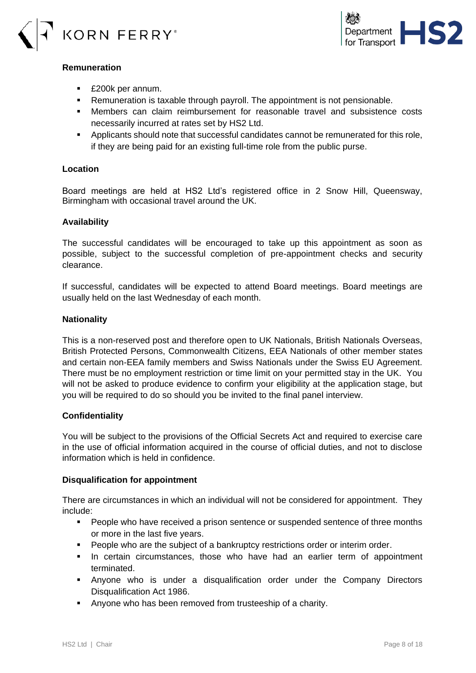



#### **Remuneration**

- £200k per annum.
- **EXE** Remuneration is taxable through payroll. The appointment is not pensionable.
- Members can claim reimbursement for reasonable travel and subsistence costs necessarily incurred at rates set by HS2 Ltd.
- Applicants should note that successful candidates cannot be remunerated for this role, if they are being paid for an existing full-time role from the public purse.

#### **Location**

Board meetings are held at HS2 Ltd's registered office in 2 Snow Hill, Queensway, Birmingham with occasional travel around the UK.

#### **Availability**

The successful candidates will be encouraged to take up this appointment as soon as possible, subject to the successful completion of pre-appointment checks and security clearance.

If successful, candidates will be expected to attend Board meetings. Board meetings are usually held on the last Wednesday of each month.

#### **Nationality**

This is a non-reserved post and therefore open to UK Nationals, British Nationals Overseas, British Protected Persons, Commonwealth Citizens, EEA Nationals of other member states and certain non-EEA family members and Swiss Nationals under the Swiss EU Agreement. There must be no employment restriction or time limit on your permitted stay in the UK. You will not be asked to produce evidence to confirm your eligibility at the application stage, but you will be required to do so should you be invited to the final panel interview.

#### **Confidentiality**

You will be subject to the provisions of the Official Secrets Act and required to exercise care in the use of official information acquired in the course of official duties, and not to disclose information which is held in confidence.

#### **Disqualification for appointment**

There are circumstances in which an individual will not be considered for appointment. They include:

- People who have received a prison sentence or suspended sentence of three months or more in the last five years.
- **People who are the subject of a bankruptcy restrictions order or interim order.**
- In certain circumstances, those who have had an earlier term of appointment terminated.
- **E** Anyone who is under a disqualification order under the Company Directors Disqualification Act 1986.
- Anyone who has been removed from trusteeship of a charity.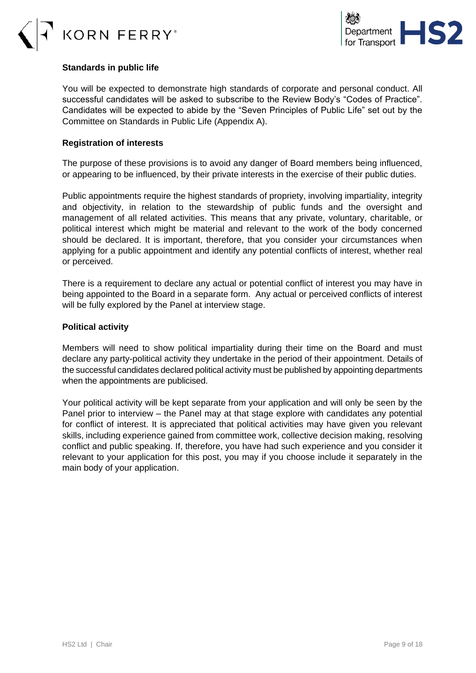



#### **Standards in public life**

You will be expected to demonstrate high standards of corporate and personal conduct. All successful candidates will be asked to subscribe to the Review Body's "Codes of Practice". Candidates will be expected to abide by the "Seven Principles of Public Life" set out by the Committee on Standards in Public Life (Appendix A).

#### **Registration of interests**

The purpose of these provisions is to avoid any danger of Board members being influenced, or appearing to be influenced, by their private interests in the exercise of their public duties.

Public appointments require the highest standards of propriety, involving impartiality, integrity and objectivity, in relation to the stewardship of public funds and the oversight and management of all related activities. This means that any private, voluntary, charitable, or political interest which might be material and relevant to the work of the body concerned should be declared. It is important, therefore, that you consider your circumstances when applying for a public appointment and identify any potential conflicts of interest, whether real or perceived.

There is a requirement to declare any actual or potential conflict of interest you may have in being appointed to the Board in a separate form. Any actual or perceived conflicts of interest will be fully explored by the Panel at interview stage.

#### **Political activity**

Members will need to show political impartiality during their time on the Board and must declare any party-political activity they undertake in the period of their appointment. Details of the successful candidates declared political activity must be published by appointing departments when the appointments are publicised.

Your political activity will be kept separate from your application and will only be seen by the Panel prior to interview – the Panel may at that stage explore with candidates any potential for conflict of interest. It is appreciated that political activities may have given you relevant skills, including experience gained from committee work, collective decision making, resolving conflict and public speaking. If, therefore, you have had such experience and you consider it relevant to your application for this post, you may if you choose include it separately in the main body of your application.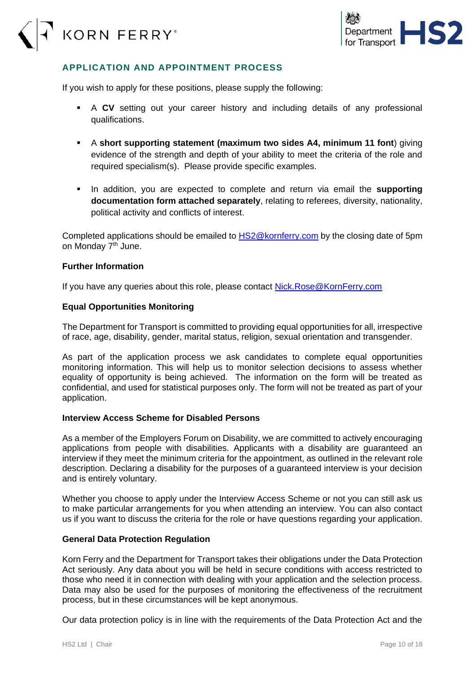



#### **APPLICATION AND APPOINTMENT PROCESS**

If you wish to apply for these positions, please supply the following:

- A **CV** setting out your career history and including details of any professional qualifications.
- A **short supporting statement (maximum two sides A4, minimum 11 font**) giving evidence of the strength and depth of your ability to meet the criteria of the role and required specialism(s). Please provide specific examples.
- In addition, you are expected to complete and return via email the **supporting documentation form attached separately**, relating to referees, diversity, nationality, political activity and conflicts of interest.

Completed applications should be emailed to **[HS2@kornferry.com](mailto:HS2@kornferry.com)** by the closing date of 5pm on Monday 7th June.

#### **Further Information**

If you have any queries about this role, please contact [Nick.Rose@KornFerry.com](mailto:Nick.Rose@KornFerry.com)

#### **Equal Opportunities Monitoring**

The Department for Transport is committed to providing equal opportunities for all, irrespective of race, age, disability, gender, marital status, religion, sexual orientation and transgender.

As part of the application process we ask candidates to complete equal opportunities monitoring information. This will help us to monitor selection decisions to assess whether equality of opportunity is being achieved. The information on the form will be treated as confidential, and used for statistical purposes only. The form will not be treated as part of your application.

#### **Interview Access Scheme for Disabled Persons**

As a member of the Employers Forum on Disability, we are committed to actively encouraging applications from people with disabilities. Applicants with a disability are guaranteed an interview if they meet the minimum criteria for the appointment, as outlined in the relevant role description. Declaring a disability for the purposes of a guaranteed interview is your decision and is entirely voluntary.

Whether you choose to apply under the Interview Access Scheme or not you can still ask us to make particular arrangements for you when attending an interview. You can also contact us if you want to discuss the criteria for the role or have questions regarding your application.

#### **General Data Protection Regulation**

Korn Ferry and the Department for Transport takes their obligations under the Data Protection Act seriously. Any data about you will be held in secure conditions with access restricted to those who need it in connection with dealing with your application and the selection process. Data may also be used for the purposes of monitoring the effectiveness of the recruitment process, but in these circumstances will be kept anonymous.

Our data protection policy is in line with the requirements of the Data Protection Act and the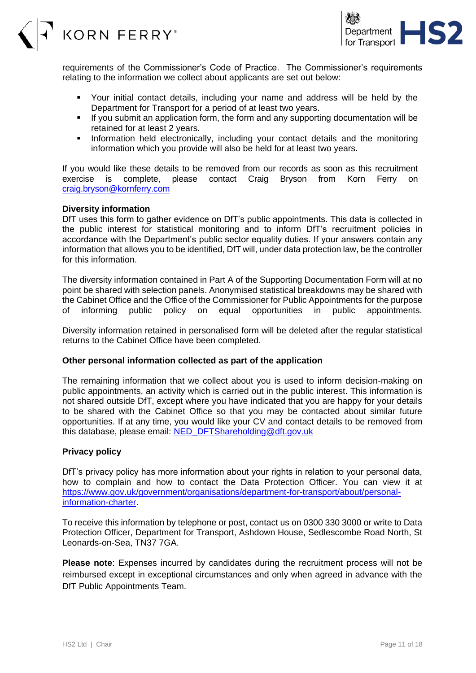



requirements of the Commissioner's Code of Practice. The Commissioner's requirements relating to the information we collect about applicants are set out below:

- Your initial contact details, including your name and address will be held by the Department for Transport for a period of at least two years.
- **.** If you submit an application form, the form and any supporting documentation will be retained for at least 2 years.
- Information held electronically, including your contact details and the monitoring information which you provide will also be held for at least two years.

If you would like these details to be removed from our records as soon as this recruitment exercise is complete, please contact Craig Bryson from Korn Ferry on [craig.bryson@kornferry.com](mailto:craig.bryson@kornferry.com)

#### **Diversity information**

DfT uses this form to gather evidence on DfT's public appointments. This data is collected in the public interest for statistical monitoring and to inform DfT's recruitment policies in accordance with the Department's public sector equality duties. If your answers contain any information that allows you to be identified, DfT will, under data protection law, be the controller for this information.

The diversity information contained in Part A of the Supporting Documentation Form will at no point be shared with selection panels. Anonymised statistical breakdowns may be shared with the Cabinet Office and the Office of the Commissioner for Public Appointments for the purpose of informing public policy on equal opportunities in public appointments.

Diversity information retained in personalised form will be deleted after the regular statistical returns to the Cabinet Office have been completed.

#### **Other personal information collected as part of the application**

The remaining information that we collect about you is used to inform decision-making on public appointments, an activity which is carried out in the public interest. This information is not shared outside DfT, except where you have indicated that you are happy for your details to be shared with the Cabinet Office so that you may be contacted about similar future opportunities. If at any time, you would like your CV and contact details to be removed from this database, please email: [NED\\_DFTShareholding@dft.gov.uk](mailto:NED_DFTShareholding@dft.gov.uk) 

#### **Privacy policy**

DfT's privacy policy has more information about your rights in relation to your personal data, how to complain and how to contact the Data Protection Officer. You can view it at [https://www.gov.uk/government/organisations/department-for-transport/about/personal](https://www.gov.uk/government/organisations/department-for-transport/about/personal-information-charter)[information-charter.](https://www.gov.uk/government/organisations/department-for-transport/about/personal-information-charter)

To receive this information by telephone or post, contact us on 0300 330 3000 or write to Data Protection Officer, Department for Transport, Ashdown House, Sedlescombe Road North, St Leonards-on-Sea, TN37 7GA.

**Please note**: Expenses incurred by candidates during the recruitment process will not be reimbursed except in exceptional circumstances and only when agreed in advance with the DfT Public Appointments Team.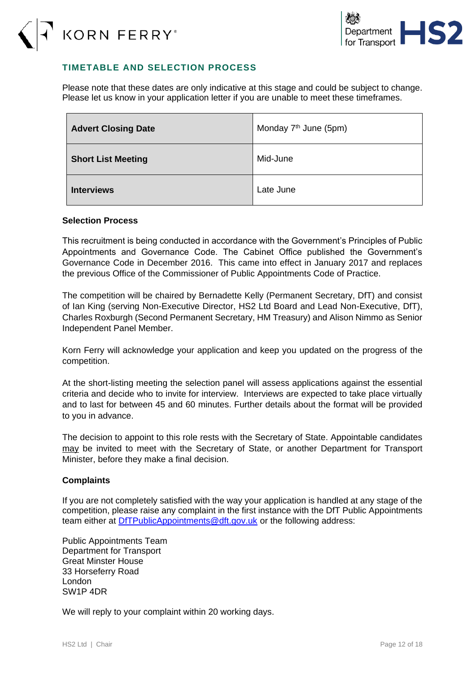



#### **TIMETABLE AND SELECTION PROCESS**

Please note that these dates are only indicative at this stage and could be subject to change. Please let us know in your application letter if you are unable to meet these timeframes.

| <b>Advert Closing Date</b> | Monday 7 <sup>th</sup> June (5pm) |
|----------------------------|-----------------------------------|
| <b>Short List Meeting</b>  | Mid-June                          |
| <b>Interviews</b>          | Late June                         |

#### **Selection Process**

This recruitment is being conducted in accordance with the Government's Principles of Public Appointments and Governance Code. The Cabinet Office published the Government's Governance Code in December 2016. This came into effect in January 2017 and replaces the previous Office of the Commissioner of Public Appointments Code of Practice.

The competition will be chaired by Bernadette Kelly (Permanent Secretary, DfT) and consist of Ian King (serving Non-Executive Director, HS2 Ltd Board and Lead Non-Executive, DfT), Charles Roxburgh (Second Permanent Secretary, HM Treasury) and Alison Nimmo as Senior Independent Panel Member.

Korn Ferry will acknowledge your application and keep you updated on the progress of the competition.

At the short-listing meeting the selection panel will assess applications against the essential criteria and decide who to invite for interview. Interviews are expected to take place virtually and to last for between 45 and 60 minutes. Further details about the format will be provided to you in advance.

The decision to appoint to this role rests with the Secretary of State. Appointable candidates may be invited to meet with the Secretary of State, or another Department for Transport Minister, before they make a final decision.

#### **Complaints**

If you are not completely satisfied with the way your application is handled at any stage of the competition, please raise any complaint in the first instance with the DfT Public Appointments team either at [DfTPublicAppointments@dft.gov.uk](mailto:DfTPublicAppointments@dft.gov.uk) or the following address:

Public Appointments Team Department for Transport Great Minster House 33 Horseferry Road London SW1P 4DR

We will reply to your complaint within 20 working days.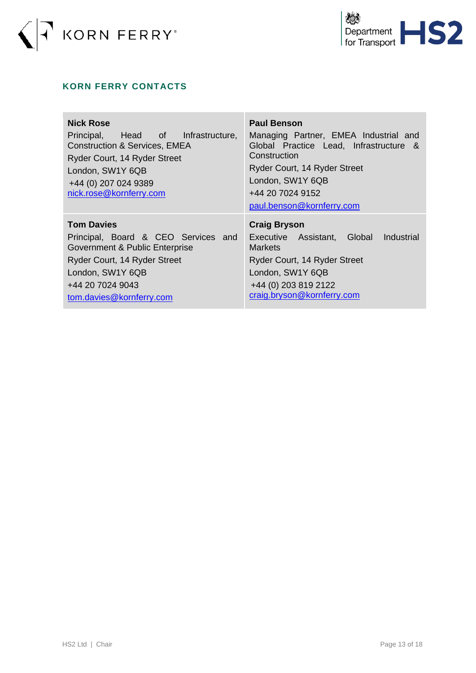



#### **KORN FERRY CONTACTS**

| <b>Nick Rose</b><br>Principal, Head of Infrastructure,<br><b>Construction &amp; Services, EMEA</b><br>Ryder Court, 14 Ryder Street<br>London, SW1Y 6QB<br>+44 (0) 207 024 9389<br>nick.rose@kornferry.com | <b>Paul Benson</b><br>Managing Partner, EMEA Industrial and<br>Global Practice Lead, Infrastructure &<br>Construction<br>Ryder Court, 14 Ryder Street<br>London, SW1Y 6QB<br>+44 20 7024 9152<br>paul.benson@kornferry.com |
|-----------------------------------------------------------------------------------------------------------------------------------------------------------------------------------------------------------|----------------------------------------------------------------------------------------------------------------------------------------------------------------------------------------------------------------------------|
| <b>Tom Davies</b><br>Principal, Board & CEO Services and<br>Government & Public Enterprise<br>Ryder Court, 14 Ryder Street<br>London, SW1Y 6QB<br>+44 20 7024 9043<br>tom.davies@kornferry.com            | <b>Craig Bryson</b><br>Executive Assistant,<br>Industrial<br>Global<br>Markets<br>Ryder Court, 14 Ryder Street<br>London, SW1Y 6QB<br>+44 (0) 203 819 2122<br>craig.bryson@kornferry.com                                   |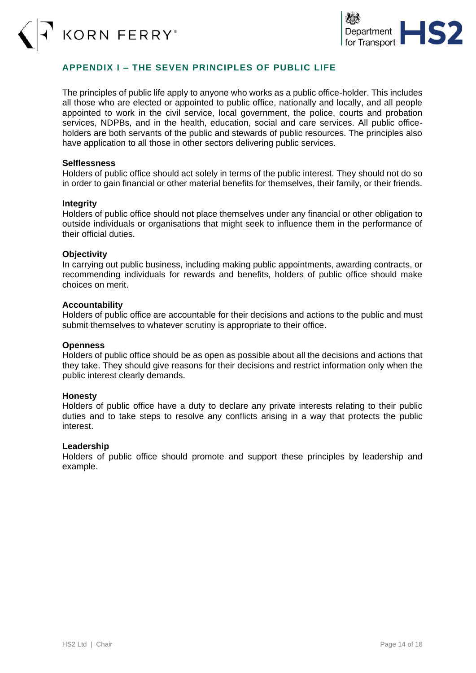



#### **APPENDIX I – THE SEVEN PRINCIPLES OF PUBLIC LIFE**

The principles of public life apply to anyone who works as a public office-holder. This includes all those who are elected or appointed to public office, nationally and locally, and all people appointed to work in the civil service, local government, the police, courts and probation services, NDPBs, and in the health, education, social and care services. All public officeholders are both servants of the public and stewards of public resources. The principles also have application to all those in other sectors delivering public services.

#### **Selflessness**

Holders of public office should act solely in terms of the public interest. They should not do so in order to gain financial or other material benefits for themselves, their family, or their friends.

#### **Integrity**

Holders of public office should not place themselves under any financial or other obligation to outside individuals or organisations that might seek to influence them in the performance of their official duties.

#### **Objectivity**

In carrying out public business, including making public appointments, awarding contracts, or recommending individuals for rewards and benefits, holders of public office should make choices on merit.

#### **Accountability**

Holders of public office are accountable for their decisions and actions to the public and must submit themselves to whatever scrutiny is appropriate to their office.

#### **Openness**

Holders of public office should be as open as possible about all the decisions and actions that they take. They should give reasons for their decisions and restrict information only when the public interest clearly demands.

#### **Honesty**

Holders of public office have a duty to declare any private interests relating to their public duties and to take steps to resolve any conflicts arising in a way that protects the public interest.

#### **Leadership**

Holders of public office should promote and support these principles by leadership and example.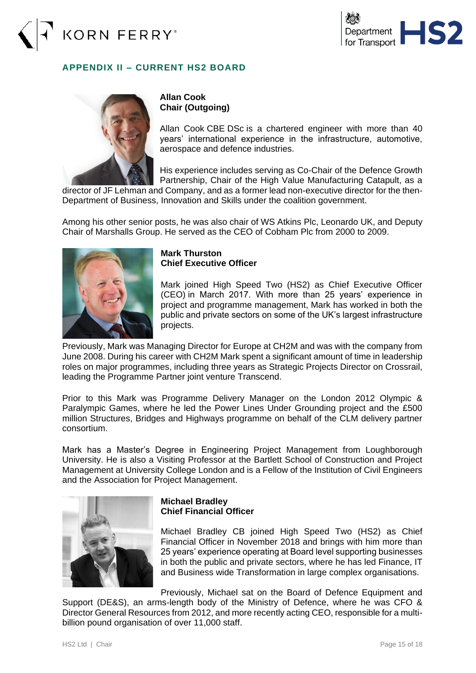## KORN FERRY<sup>®</sup>



#### **APPENDIX II – CURRENT HS2 BOARD**



**Allan Cook Chair (Outgoing)**

Allan Cook CBE DSc is a chartered engineer with more than 40 years' international experience in the infrastructure, automotive, aerospace and defence industries.

His experience includes serving as Co-Chair of the Defence Growth Partnership, Chair of the High Value Manufacturing Catapult, as a

director of JF Lehman and Company, and as a former lead non-executive director for the then-Department of Business, Innovation and Skills under the coalition government.

Among his other senior posts, he was also chair of WS Atkins Plc, Leonardo UK, and Deputy Chair of Marshalls Group. He served as the CEO of Cobham Plc from 2000 to 2009.



#### **Mark Thurston Chief Executive Officer**

Mark joined High Speed Two (HS2) as Chief Executive Officer (CEO) in March 2017. With more than 25 years' experience in project and programme management, Mark has worked in both the public and private sectors on some of the UK's largest infrastructure projects.

Previously, Mark was Managing Director for Europe at CH2M and was with the company from June 2008. During his career with CH2M Mark spent a significant amount of time in leadership roles on major programmes, including three years as Strategic Projects Director on Crossrail, leading the Programme Partner joint venture Transcend.

Prior to this Mark was Programme Delivery Manager on the London 2012 Olympic & Paralympic Games, where he led the Power Lines Under Grounding project and the £500 million Structures, Bridges and Highways programme on behalf of the CLM delivery partner consortium.

Mark has a Master's Degree in Engineering Project Management from Loughborough University. He is also a Visiting Professor at the Bartlett School of Construction and Project Management at University College London and is a Fellow of the Institution of Civil Engineers and the Association for Project Management.



#### **Michael Bradley Chief Financial Officer**

Michael Bradley CB joined High Speed Two (HS2) as Chief Financial Officer in November 2018 and brings with him more than 25 years' experience operating at Board level supporting businesses in both the public and private sectors, where he has led Finance, IT and Business wide Transformation in large complex organisations.

Previously, Michael sat on the Board of Defence Equipment and Support (DE&S), an arms-length body of the Ministry of Defence, where he was CFO & Director General Resources from 2012, and more recently acting CEO, responsible for a multibillion pound organisation of over 11,000 staff.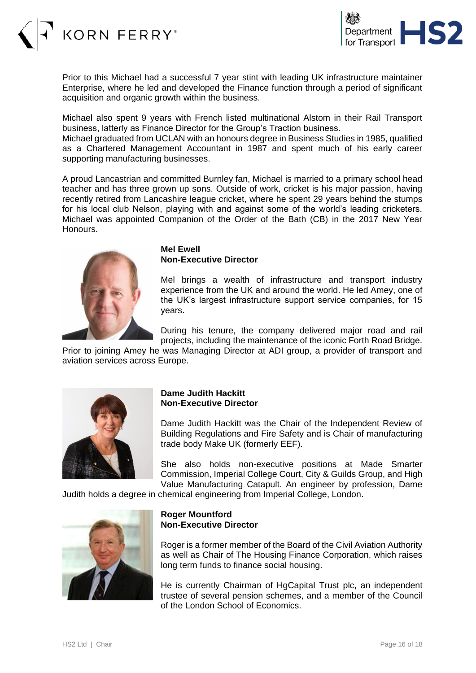



Prior to this Michael had a successful 7 year stint with leading UK infrastructure maintainer Enterprise, where he led and developed the Finance function through a period of significant acquisition and organic growth within the business.

Michael also spent 9 years with French listed multinational Alstom in their Rail Transport business, latterly as Finance Director for the Group's Traction business.

Michael graduated from UCLAN with an honours degree in Business Studies in 1985, qualified as a Chartered Management Accountant in 1987 and spent much of his early career supporting manufacturing businesses.

A proud Lancastrian and committed Burnley fan, Michael is married to a primary school head teacher and has three grown up sons. Outside of work, cricket is his major passion, having recently retired from Lancashire league cricket, where he spent 29 years behind the stumps for his local club Nelson, playing with and against some of the world's leading cricketers. Michael was appointed Companion of the Order of the Bath (CB) in the 2017 New Year Honours.



#### **Mel Ewell Non-Executive Director**

Mel brings a wealth of infrastructure and transport industry experience from the UK and around the world. He led Amey, one of the UK's largest infrastructure support service companies, for 15 years.

During his tenure, the company delivered major road and rail projects, including the maintenance of the iconic Forth Road Bridge.

Prior to joining Amey he was Managing Director at ADI group, a provider of transport and aviation services across Europe.



#### **Dame Judith Hackitt Non-Executive Director**

Dame Judith Hackitt was the Chair of the Independent Review of Building Regulations and Fire Safety and is Chair of manufacturing trade body Make UK (formerly EEF).

She also holds non-executive positions at Made Smarter Commission, Imperial College Court, City & Guilds Group, and High Value Manufacturing Catapult. An engineer by profession, Dame

Judith holds a degree in chemical engineering from Imperial College, London.



#### **Roger Mountford Non-Executive Director**

Roger is a former member of the Board of the Civil Aviation Authority as well as Chair of The Housing Finance Corporation, which raises long term funds to finance social housing.

He is currently Chairman of HgCapital Trust plc, an independent trustee of several pension schemes, and a member of the Council of the London School of Economics.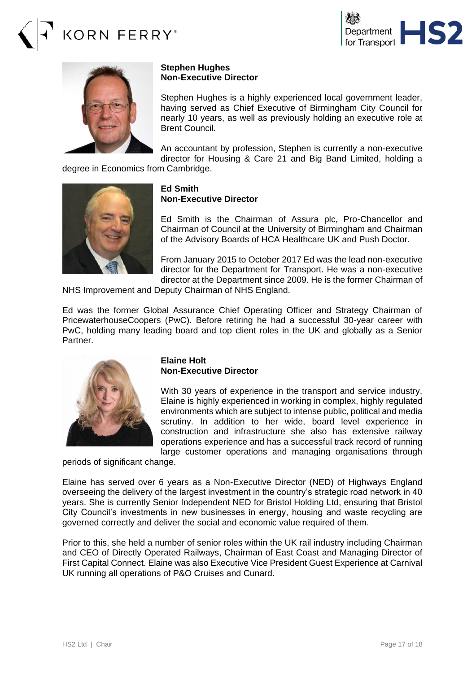### KORN FERRY<sup>®</sup>





#### **Stephen Hughes Non-Executive Director**

Stephen Hughes is a highly experienced local government leader, having served as Chief Executive of Birmingham City Council for nearly 10 years, as well as previously holding an executive role at Brent Council.

An accountant by profession, Stephen is currently a non-executive director for Housing & Care 21 and Big Band Limited, holding a

degree in Economics from Cambridge.



#### **Ed Smith Non-Executive Director**

Ed Smith is the Chairman of Assura plc, Pro-Chancellor and Chairman of Council at the University of Birmingham and Chairman of the Advisory Boards of HCA Healthcare UK and Push Doctor.

From January 2015 to October 2017 Ed was the lead non-executive director for the Department for Transport. He was a non-executive director at the Department since 2009. He is the former Chairman of

NHS Improvement and Deputy Chairman of NHS England.

Ed was the former Global Assurance Chief Operating Officer and Strategy Chairman of PricewaterhouseCoopers (PwC). Before retiring he had a successful 30-year career with PwC, holding many leading board and top client roles in the UK and globally as a Senior Partner.



#### **Elaine Holt Non-Executive Director**

With 30 years of experience in the transport and service industry, Elaine is highly experienced in working in complex, highly regulated environments which are subject to intense public, political and media scrutiny. In addition to her wide, board level experience in construction and infrastructure she also has extensive railway operations experience and has a successful track record of running large customer operations and managing organisations through

periods of significant change.

Elaine has served over 6 years as a Non-Executive Director (NED) of Highways England overseeing the delivery of the largest investment in the country's strategic road network in 40 years. She is currently Senior Independent NED for Bristol Holding Ltd, ensuring that Bristol City Council's investments in new businesses in energy, housing and waste recycling are governed correctly and deliver the social and economic value required of them.

Prior to this, she held a number of senior roles within the UK rail industry including Chairman and CEO of Directly Operated Railways, Chairman of East Coast and Managing Director of First Capital Connect. Elaine was also Executive Vice President Guest Experience at Carnival UK running all operations of P&O Cruises and Cunard.